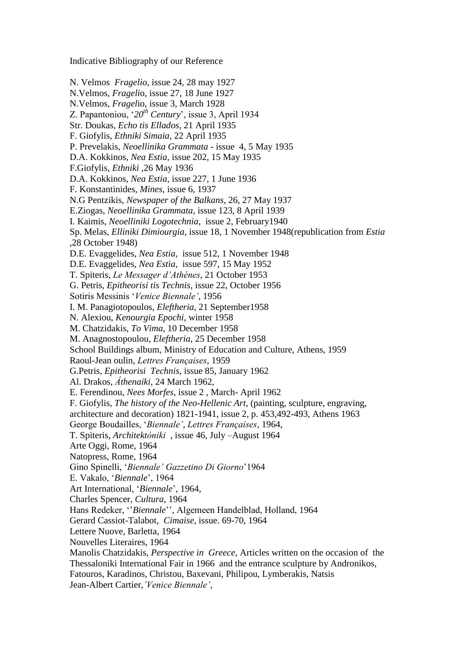Indicative Bibliography of our Reference

N. Velmos *Fragelio*, issue 24, 28 may 1927 N.Velmos, *Frageli*o, issue 27, 18 June 1927 N.Velmos, *Fragel*io, issue 3, March 1928 Z. Papantoniou, "*20th Century*", issue 3, April 1934 Str. Doukas, *Echo tis Ellados*, 21 April 1935 F. Giofylis, *Ethniki Simaia*, 22 April 1935 P. Prevelakis, *Neoellinika Grammata* - issue 4, 5 May 1935 D.A. Kokkinos, *Nea Estia*, issue 202, 15 May 1935 F.Giofylis, *Ethniki* ,26 May 1936 D.A. Kokkinos, *Nea Estia*, issue 227, 1 June 1936 F. Konstantinides, *Mines*, issue 6, 1937 N.G Pentzikis, *Newspaper of the Balkans*, 26, 27 May 1937 E.Ziogas, *Neoellinika Grammata,* issue 123, 8 April 1939 I. Kaimis, *Neoelliniki Logotechnia,* issue 2, February1940 Sp. Melas, *Elliniki Dimiourgia*, issue 18, 1 November 1948(republication from *Estia* ,28 October 1948) D.E. Evaggelides, *Nea Estia,* issue 512, 1 November 1948 D.E. Evaggelides, *Nea Estia,* issue 597, 15 May 1952 T. Spiteris, *Le Messager d'Athénes*, 21 October 1953 G. Petris, *Epitheorisi tis Technis*, issue 22, October 1956 Sotiris Messinis "*Venice Biennale'*, 1956 I. M. Panagiotopoulos, *Eleftheria*, 21 September1958 N. Alexiou, *Kenourgia Epochi*, winter 1958 M. Chatzidakis, *To Vima*, 10 December 1958 M. Anagnostopoulou, *Eleftheria*, 25 December 1958 School Buildings album, Ministry of Education and Culture, Athens, 1959 Raoul-Jean oulin, *Lettres Françaises*, 1959 G.Petris, *Epitheorisi Technis*, issue 85, January 1962 Al. Drakos, *Áthenaiki*, 24 March 1962, E. Ferendinou, *Nees Morfes*, issue 2 , March- April 1962 F. Giofylis, *The history of the Neo-Hellenic Art*, (painting, sculpture, engraving, architecture and decoration) 1821-1941, issue 2, p. 453,492-493, Athens 1963 George Boudailles, "*Biennale', Lettres Françaises*, 1964, T. Spiteris, *Architektóniki* , issue 46, July –August 1964 Arte Oggi, Rome, 1964 Natopress, Rome, 1964 Gino Spinelli, "*Biennale' Gazzetino Di Giorno*"1964 E. Vakalo, "*Biennale*", 1964 Art International, "*Biennale*", 1964, Charles Spencer, *Cultura*, 1964 Hans Redeker, "Biennale", Algemeen Handelblad, Holland, 1964 Gerard Cassiot-Talabot, *Cimaise*, issue. 69-70, 1964 Lettere Nuove, Barletta, 1964 Nouvelles Literaires, 1964 Manolis Chatzidakis, *Perspective in Greece*, Articles written on the occasion of the Thessaloniki International Fair in 1966 and the entrance sculpture by Andronikos, Fatouros, Karadinos, Christou, Baxevani, Philipou, Lymberakis, Natsis

Jean-Albert Cartier,*'Venice Biennale'*,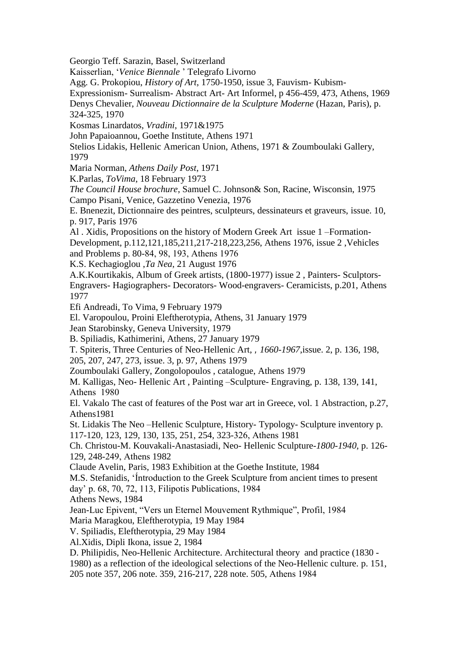Georgio Teff. Sarazin, Basel, Switzerland

Kaisserlian, "*Venice Biennale* " Telegrafo Livorno

Agg. G. Prokopiou, *History of Art*, 1750-1950, issue 3, Fauvism- Kubism-

Expressionism- Surrealism- Abstract Art- Art Informel, p 456-459, 473, Athens, 1969

Denys Chevalier, *Nouveau Dictionnaire de la Sculpture Moderne* (Hazan, Paris), p. 324-325, 1970

Kosmas Linardatos, *Vradini*, 1971&1975

John Papaioannou, Goethe Institute, Athens 1971

Stelios Lidakis, Hellenic American Union, Athens, 1971 & Zoumboulaki Gallery, 1979

Maria Norman, *Athens Daily Post*, 1971

K.Parlas, *ToVima*, 18 February 1973

*The Council House brochure*, Samuel C. Johnson& Son, Racine, Wisconsin, 1975 Campo Pisani, Venice, Gazzetino Venezia, 1976

E. Bnenezit, Dictionnaire des peintres, sculpteurs, dessinateurs et graveurs, issue. 10, p. 917, Paris 1976

Al . Xidis, Propositions on the history of Modern Greek Art issue 1 –Formation-Development, p.112,121,185,211,217-218,223,256, Athens 1976, issue 2 ,Vehicles and Problems p. 80-84, 98, 193, Αthens 1976

K.S. Kechagioglou ,*Ta Nea*, 21 August 1976

A.K.Kourtikakis, Album of Greek artists, (1800-1977) issue 2 , Painters- Sculptors-Engravers- Hagiographers- Decorators- Wood-engravers- Ceramicists, p.201, Athens 1977

Efi Andreadi, To Vima, 9 February 1979

El. Varopoulou, Proini Eleftherotypia, Athens, 31 January 1979

Jean Starobinsky, Geneva University, 1979

B. Spiliadis, Kathimerini, Athens, 27 January 1979

T. Spiteris, Three Centuries of Neo-Hellenic Art, *, 1660-1967*,issue. 2, p. 136, 198,

205, 207, 247, 273, issue. 3, p. 97, Athens 1979

Zoumboulaki Gallery, Zongolopoulos , catalogue, Athens 1979

M. Kalligas, Neo- Hellenic Art , Painting –Sculpture- Engraving, p. 138, 139, 141, Αthens 1980

El. Vakalo The cast of features of the Post war art in Greece, vol. 1 Abstraction, p.27, Athens1981

St. Lidakis The Neo –Hellenic Sculpture, History- Typology- Sculpture inventory p. 117-120, 123, 129, 130, 135, 251, 254, 323-326, Αthens 1981

Ch. Christou-M. Kouvakali-Anastasiadi, Neo- Hellenic Sculpture-*1800-1940*, p. 126- 129, 248-249, Αthens 1982

Claude Avelin, Paris, 1983 Exhibition at the Goethe Institute, 1984

M.S. Stefanidis, "Íntroduction to the Greek Sculpture from ancient times to present

day" p. 68, 70, 72, 113, Filipotis Publications, 1984

Athens News, 1984

Jean-Luc Epivent, "Vers un Eternel Mouvement Rythmique", Profil, 1984 Maria Maragkou, Eleftherotypia, 19 May 1984

V. Spiliadis, Eleftherotypia, 29 May 1984

Al.Xidis, Dipli Ikona, issue 2, 1984

D. Philipidis, Neo-Hellenic Architecture. Architectural theory and practice (1830 -

1980) as a reflection of the ideological selections of the Neo-Hellenic culture. p. 151,

205 note 357, 206 note. 359, 216-217, 228 note. 505, Αthens 1984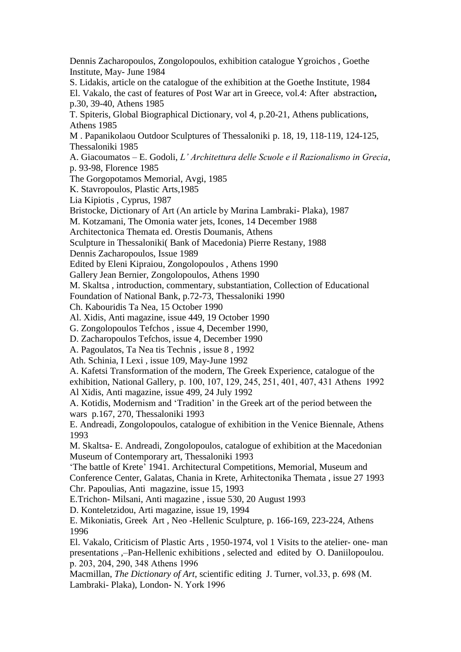Dennis Zacharopoulos, Zongolopoulos, exhibition catalogue Ygroichos , Goethe Institute, May- June 1984 S. Lidakis, article on the catalogue of the exhibition at the Goethe Institute, 1984 El. Vakalo, the cast of features of Post War art in Greece, vol.4: After abstraction**,** p.30, 39-40, Athens 1985 T. Spiteris, Global Biographical Dictionary, vol 4, p.20-21, Athens publications, Athens 1985 M . Papanikolaou Outdoor Sculptures of Thessaloniki p. 18, 19, 118-119, 124-125, Thessaloniki 1985 A. Giacoumatos – E. Godoli, *L' Architettura delle Scuole e il Razionalismo in Grecia*, p. 93-98, Florence 1985 The Gorgopotamos Memorial, Avgi, 1985 K. Stavropoulos, Plastic Arts,1985 Lia Kipiotis , Cyprus, 1987 Bristocke, Dictionary of Art (An article by Μαrina Lambraki- Plaka), 1987 M. Kotzamani, The Omonia water jets, Icones, 14 December 1988 Architectonica Themata ed. Orestis Doumanis, Athens Sculpture in Thessaloniki( Bank of Macedonia) Pierre Restany, 1988 Dennis Zacharopoulos, Issue 1989 Edited by Eleni Kipraiou, Zongolopoulos , Athens 1990 Gallery Jean Bernier, Zongolopoulos, Athens 1990 M. Skaltsa , introduction, commentary, substantiation, Collection of Educational Foundation of National Bank, p.72-73, Thessaloniki 1990 Ch. Kabouridis Ta Nea, 15 October 1990 Al. Xidis, Anti magazine, issue 449, 19 October 1990 G. Zongolopoulos Tefchos , issue 4, December 1990, D. Zacharopoulos Tefchos, issue 4, December 1990 A. Pagoulatos, Ta Nea tis Technis , issue 8 , 1992 Ath. Schinia, I Lexi , issue 109, May-June 1992 A. Kafetsi Transformation of the modern, The Greek Experience, catalogue of the exhibition, National Gallery, p. 100, 107, 129, 245, 251, 401, 407, 431 Αthens 1992 Al Xidis, Anti magazine, issue 499, 24 July 1992 A. Kotidis, Modernism and "Tradition" in the Greek art of the period between the wars p.167, 270, Thessaloniki 1993 E. Andreadi, Zongolopoulos, catalogue of exhibition in the Venice Biennale, Athens 1993 M. Skaltsa- E. Andreadi, Zongolopoulos, catalogue of exhibition at the Macedonian Museum of Contemporary art, Thessaloniki 1993 "The battle of Krete" 1941. Architectural Competitions, Memorial, Museum and Conference Center, Galatas, Chania in Krete, Arhitectonika Themata , issue 27 1993 Chr. Papoulias, Anti magazine, issue 15, 1993 E.Trichon- Milsani, Anti magazine , issue 530, 20 August 1993 D. Konteletzidou, Arti magazine, issue 19, 1994 E. Mikoniatis, Greek Art , Neo -Hellenic Sculpture, p. 166-169, 223-224, Athens 1996 El. Vakalo, Criticism of Plastic Arts , 1950-1974, vol 1 Visits to the atelier- one- man presentations ,–Pan-Hellenic exhibitions , selected and edited by O. Daniilopoulou. p. 203, 204, 290, 348 Αthens 1996 Macmillan, *The Dictionary of Art*, scientific editing J. Turner, vol.33, p. 698 (Μ. Lambraki- Plaka), London- Ν. Υork 1996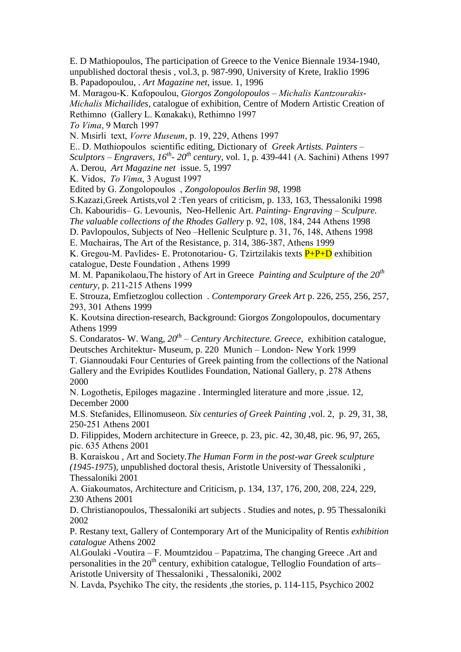E. D Mathiopoulos, The participation of Greece to the Venice Biennale 1934-1940, unpublished doctoral thesis , vol.3, p. 987-990, University of Krete, Iraklio 1996 B. Papadopoulou, . *Art Magazine net*, issue. 1, 1996

Μ. Μαragou-Κ. Καfopoulou, *Giorgos Zongolopoulos – Μichalis Kantzourakis-Μichalis Michailides*, catalogue of exhibition, Centre of Modern Artistic Creation of Rethimno (Gallery L. Καnakakι), Rethimno 1997

*Τo Vima*, 9 Μαrch 1997

Ν. Μιsirli text, *Vοrre Museum*, p. 19, 229, Αthens 1997

Ε.. D. Μαthiopoulos scientific editing, Dictionary of *Greek Artists. Painters –*

*Sculptors – Engravers, 16th - 20 th century*, vol. 1, p. 439-441 (Α. Sachini) Αthens 1997

Α. Derou, *Art Magazine net* issue. 5, 1997

Κ. Vidos, *Το Vimα*, 3 Αυgust 1997

Edited by G. Ζοngolopoulos , *Zongolopoulos Berlin 98*, 1998

S.Kazazi,Greek Artists,vol 2 :Ten years of criticism, p. 133, 163, Thessaloniki 1998

Ch. Kabouridis– G. Levounis, Neo-Hellenic Art. *Painting- Engraving – Sculpure.*

*The valuable collections of the Rhodes Gallery* p. 92, 108, 184, 244 Αthens 1998

D. Pavlopoulos, Subjects of Neo –Hellenic Sculpture p. 31, 76, 148, Αthens 1998 Ε. Μαchairas, The Art of the Resistance, p. 314, 386-387, Αthens 1999

K. Gregou-M. Pavlides- E. Protonotariou- G. Tzirtzilakis texts  $P+P+D$  exhibition catalogue, Deste Foundation , Αthens 1999

Μ. Μ. Papanikolaou,The history of Art in Greece *Painting and Sculpture of the 20th century,* p. 211-215 Αthens 1999

E. Strouza, Emfietzoglou collection *. Contemporary Greek Art* p. 226, 255, 256, 257, 293, 301 Αthens 1999

Κ. Κουtsina direction-research, Background: Giorgos Zongolopoulos, documentary Athens 1999

S. Condaratos- W. Wang, *20th – Century Architecture. Greece*, exhibition catalogue, Deutsches Architektur- Museum, p. 220 Munich – London- New York 1999

Τ. Giannoudaki Four Centuries of Greek painting from the collections of the National Gallery and the Evripides Koutlides Foundation, National Gallery, p. 278 Αthens 2000

Ν. Logothetis, Epiloges magazine . Intermingled literature and more ,issue. 12, December 2000

Μ.S. Stefanides, Ellinomuseon*. Six centuries of Greek Painting ,*vol. 2, p. 29, 31, 38, 250-251 Αthens 2001

D. Filippides, Modern architecture in Greece, p. 23, pic. 42, 30,48, pic. 96, 97, 265, pic. 635 Αthens 2001

Β. Καraiskou , Art and Society*.The Human Form in the post-war Greek sculpture (1945-1975*), unpublished doctoral thesis, Aristotle University of Thessaloniki , Thessaloniki 2001

Α. Giakoumatos, Architecture and Criticism, p. 134, 137, 176, 200, 208, 224, 229, 230 Athens 2001

D. Christianopoulos, Thessaloniki art subjects . Studies and notes, p. 95 Thessaloniki 2002

P. Restany text, Gallery of Contemporary Art of the Municipality of Rentis *exhibition catalogue* Αthens 2002

Αl.Goulaki -Voutira – F. Moumtzidou – Papatzima, The changing Greece .Art and personalities in the 20<sup>th</sup> century, exhibition catalogue, Telloglio Foundation of arts– Aristotle University of Thessaloniki , Thessaloniki, 2002

Ν. Lavda, Psychiko The city, the residents ,the stories, p. 114-115, Psychico 2002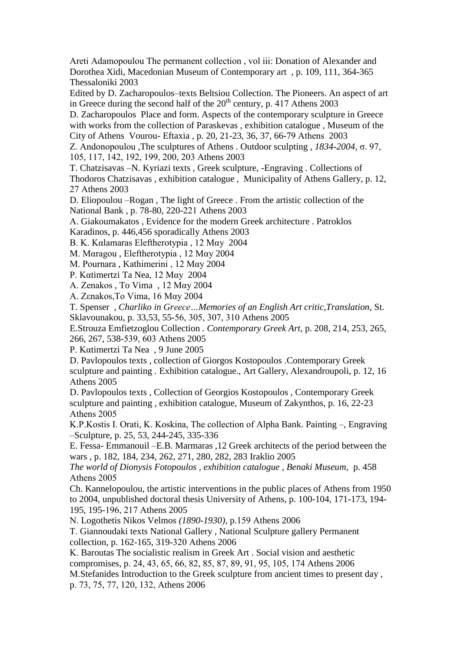Αreti Adamopoulou The permanent collection , vol iii: Donation of Alexander and Dorothea Xidi, Macedonian Museum of Contemporary art , p. 109, 111, 364-365 Thessaloniki 2003

Edited by D. Zacharopoulos–texts Beltsiou Collection. The Pioneers. An aspect of art in Greece during the second half of the  $20<sup>th</sup>$  century, p. 417 Athens 2003

D. Zacharopoulos Place and form. Aspects of the contemporary sculpture in Greece with works from the collection of Paraskevas , exhibition catalogue , Museum of the City of Athens Vourou- Eftaxia , p. 20, 21-23, 36, 37, 66-79 Αthens 2003

Ζ. Αndonopoulou ,The sculptures of Athens . Outdoor sculpting , *1834-2004,* σ. 97, 105, 117, 142, 192, 199, 200, 203 Αthens 2003

T. Chatzisavas –N. Kyriazi texts , Greek sculpture, -Engraving . Collections of Thodoros Chatzisavas , exhibition catalogue , Municipality of Athens Gallery, p. 12, 27 Αthens 2003

D. Eliopoulou –Rogan , The light of Greece . From the artistic collection of the National Bank , p. 78-80, 220-221 Αthens 2003

Α. Giakoumakatos , Evidence for the modern Greek architecture . Patroklos Karadinos, p. 446,456 sporadically Athens 2003

Β. Κ. Καlamaras Eleftherotypia , 12 Μαy 2004

Μ. Μαragou , Eleftherotypia , 12 Μαy 2004

Μ. Pournara , Kathimerini , 12 Μαy 2004

P. Καtimertzi Ta Nea, 12 Μαy 2004

Α. Ζenakos , To Vima , 12 Μαy 2004

Α. Ζεnakos,To Vima, 16 Μαy 2004

T. Spenser , *Charliko in Greece…Memories of an English Art critic,Translation*, St. Sklavounakou, p. 33,53, 55-56, 305, 307, 310 Αthens 2005

E.Strouza Emfietzoglou Collection *. Contemporary Greek Art,* p. 208, 214, 253, 265, 266, 267, 538-539, 603 Αthens 2005

P. Καtimertzi Ta Nea , 9 June 2005

D. Pavlopoulos texts , collection of Giorgos Kostopoulos .Contemporary Greek sculpture and painting *.* Exhibition catalogue*.*, Art Gallery, Αlexandroupoli, p. 12, 16 Αthens 2005

D. Pavlopoulos texts , Collection of Georgios Kostopoulos , Contemporary Greek sculpture and painting , exhibition catalogue, Museum of Zakynthos, p. 16, 22-23 Αthens 2005

Κ.P.Κostis I. Orati, K. Koskina, The collection of Alpha Bank. Painting –, Engraving –Sculpture, p. 25, 53, 244-245, 335-336

E. Fessa- Emmanouil –E.B. Marmaras ,12 Greek architects of the period between the wars , p. 182, 184, 234, 262, 271, 280, 282, 283 Iraklio 2005

*The world of Dionysis Fotopoulos , exhibition catalogue , Benaki Museum,* p. 458 Αthens 2005

Ch. Kannelopoulou, the artistic interventions in the public places of Athens from 1950 to 2004, unpublished doctoral thesis University of Athens, p. 100-104, 171-173, 194- 195, 195-196, 217 Αthens 2005

Ν. Logothetis Nikos Velmos *(1890-1930),* p.159 Αthens 2006

Τ. Giannoudaki texts National Gallery , National Sculpture gallery Permanent collection, p. 162-165, 319-320 Αthens 2006

Κ. Baroutas The socialistic realism in Greek Art . Social vision and aesthetic compromises, p. 24, 43, 65, 66, 82, 85, 87, 89, 91, 95, 105, 174 Αthens 2006 Μ.Stefanides Introduction to the Greek sculpture from ancient times to present day ,

p. 73, 75, 77, 120, 132, Αthens 2006